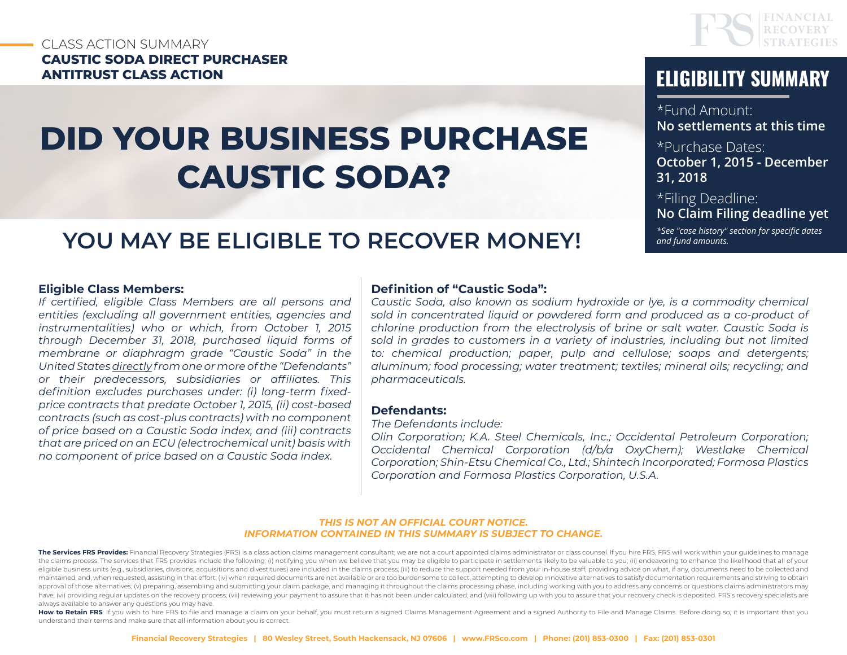#### CLASS ACTION SUMMARY **CAUSTIC SODA DIRECT PURCHASER ANTITRUST CLASS ACTION ELIGIBILITY SUMMARY**

# **DID YOUR BUSINESS PURCHASE CAUSTIC SODA?**



\*Fund Amount: **No settlements at this time**

\*Purchase Dates:

**October 1, 2015 - December 31, 2018**

\*Filing Deadline: **No Claim Filing deadline yet**

*\*See "case history" section for specific dates and fund amounts.*

## **YOU MAY BE ELIGIBLE TO RECOVER MONEY!**

#### **Eligible Class Members:**

*If certified, eligible Class Members are all persons and entities (excluding all government entities, agencies and instrumentalities) who or which, from October 1, 2015 through December 31, 2018, purchased liquid forms of membrane or diaphragm grade "Caustic Soda" in the United States directly from one or more of the "Defendants" or their predecessors, subsidiaries or affiliates. This definition excludes purchases under: (i) long-term fixedprice contracts that predate October 1, 2015, (ii) cost-based contracts (such as cost-plus contracts) with no component of price based on a Caustic Soda index, and (iii) contracts that are priced on an ECU (electrochemical unit) basis with no component of price based on a Caustic Soda index.*

#### **Definition of "Caustic Soda":**

*Caustic Soda, also known as sodium hydroxide or lye, is a commodity chemical*  sold in concentrated liquid or powdered form and produced as a co-product of *chlorine production from the electrolysis of brine or salt water. Caustic Soda is sold in grades to customers in a variety of industries, including but not limited to: chemical production; paper, pulp and cellulose; soaps and detergents; aluminum; food processing; water treatment; textiles; mineral oils; recycling; and pharmaceuticals.*

#### **Defendants:**

*The Defendants include:* 

*Olin Corporation; K.A. Steel Chemicals, Inc.; Occidental Petroleum Corporation; Occidental Chemical Corporation (d/b/a OxyChem); Westlake Chemical Corporation; Shin-Etsu Chemical Co., Ltd.; Shintech Incorporated; Formosa Plastics Corporation and Formosa Plastics Corporation, U.S.A.*

#### *THIS IS NOT AN OFFICIAL COURT NOTICE. INFORMATION CONTAINED IN THIS SUMMARY IS SUBJECT TO CHANGE.*

The Services FRS Provides: Financial Recovery Strategies (FRS) is a class action claims management consultant; we are not a court appointed claims administrator or class counsel. If you hire FRS, FRS will work within your the claims process. The services that FRS provides include the following: (i) notifying you when we believe that you may be eligible to participate in settlements likely to be valuable to you; (ii) endeavoring to enhance t eligible business units (e.g., subsidiaries, divisions, acquisitions and divestitures) are included in the claims process; (iii) to reduce the support needed from your in-house staff, providing advice on what, if any, docu maintained, and, when requested, assisting in that effort; (iv) when required documents are not available or are too burdensome to collect, attempting to develop innovative alternatives to satisfy documentation requirement approval of those alternatives; (v) preparing, assembling and submitting your claim package, and managing it throughout the claims processing phase, including working with you to address any concerns or questions claims ad have; (vi) providing regular updates on the recovery process; (vii) reviewing your payment to assure that it has not been under calculated; and (viii) following up with you to assure that your recovery check is deposited. always available to answer any questions you may have.

How to Retain FRS: If you wish to hire FRS to file and manage a claim on your behalf, you must return a signed Claims Management Agreement and a signed Authority to File and Manage Claims. Before doing so, it is important understand their terms and make sure that all information about you is correct.